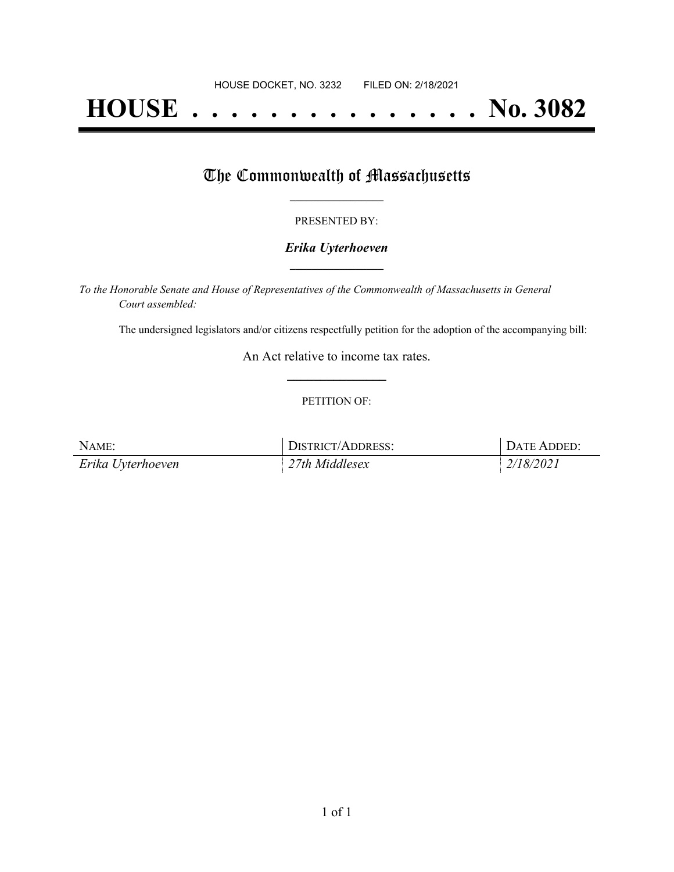# **HOUSE . . . . . . . . . . . . . . . No. 3082**

## The Commonwealth of Massachusetts

#### PRESENTED BY:

#### *Erika Uyterhoeven* **\_\_\_\_\_\_\_\_\_\_\_\_\_\_\_\_\_**

*To the Honorable Senate and House of Representatives of the Commonwealth of Massachusetts in General Court assembled:*

The undersigned legislators and/or citizens respectfully petition for the adoption of the accompanying bill:

An Act relative to income tax rates. **\_\_\_\_\_\_\_\_\_\_\_\_\_\_\_**

#### PETITION OF:

| NAME:             | DISTRICT/ADDRESS:            | DATE ADDED: |
|-------------------|------------------------------|-------------|
| Erika Uyterhoeven | $\frac{1}{2}$ 27th Middlesex | 2/18/2021   |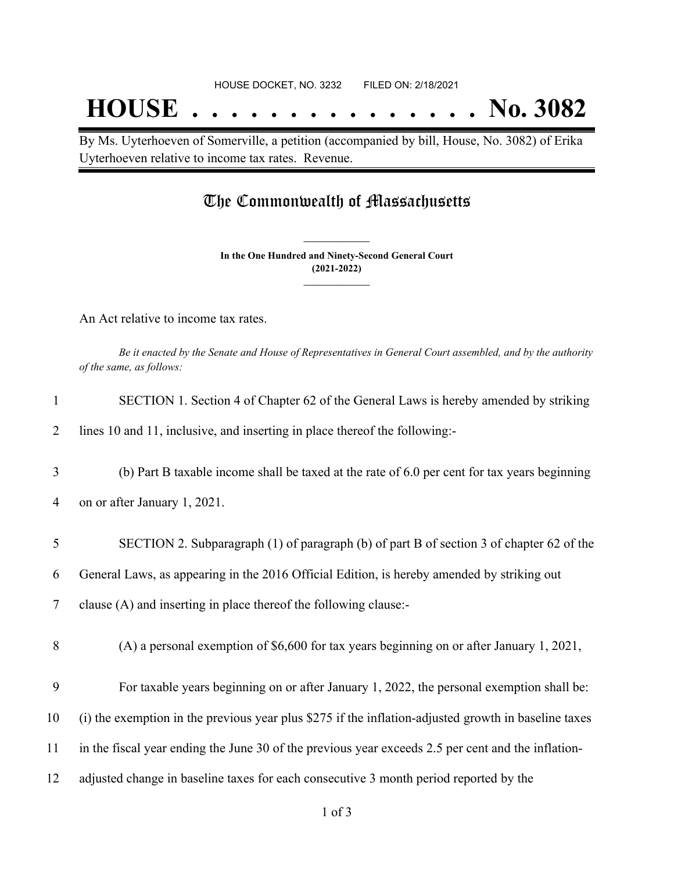## **HOUSE . . . . . . . . . . . . . . . No. 3082**

By Ms. Uyterhoeven of Somerville, a petition (accompanied by bill, House, No. 3082) of Erika Uyterhoeven relative to income tax rates. Revenue.

### The Commonwealth of Massachusetts

**In the One Hundred and Ninety-Second General Court (2021-2022) \_\_\_\_\_\_\_\_\_\_\_\_\_\_\_**

**\_\_\_\_\_\_\_\_\_\_\_\_\_\_\_**

An Act relative to income tax rates.

Be it enacted by the Senate and House of Representatives in General Court assembled, and by the authority *of the same, as follows:*

| $\mathbf{1}$   | SECTION 1. Section 4 of Chapter 62 of the General Laws is hereby amended by striking                 |
|----------------|------------------------------------------------------------------------------------------------------|
| $\overline{2}$ | lines 10 and 11, inclusive, and inserting in place thereof the following:-                           |
| 3              | (b) Part B taxable income shall be taxed at the rate of 6.0 per cent for tax years beginning         |
| 4              | on or after January 1, 2021.                                                                         |
| 5              | SECTION 2. Subparagraph (1) of paragraph (b) of part B of section 3 of chapter 62 of the             |
| 6              | General Laws, as appearing in the 2016 Official Edition, is hereby amended by striking out           |
| 7              | clause (A) and inserting in place thereof the following clause:-                                     |
| 8              | (A) a personal exemption of $$6,600$ for tax years beginning on or after January 1, 2021,            |
| 9              | For taxable years beginning on or after January 1, 2022, the personal exemption shall be:            |
| 10             | (i) the exemption in the previous year plus \$275 if the inflation-adjusted growth in baseline taxes |
| 11             | in the fiscal year ending the June 30 of the previous year exceeds 2.5 per cent and the inflation-   |
| 12             | adjusted change in baseline taxes for each consecutive 3 month period reported by the                |
|                |                                                                                                      |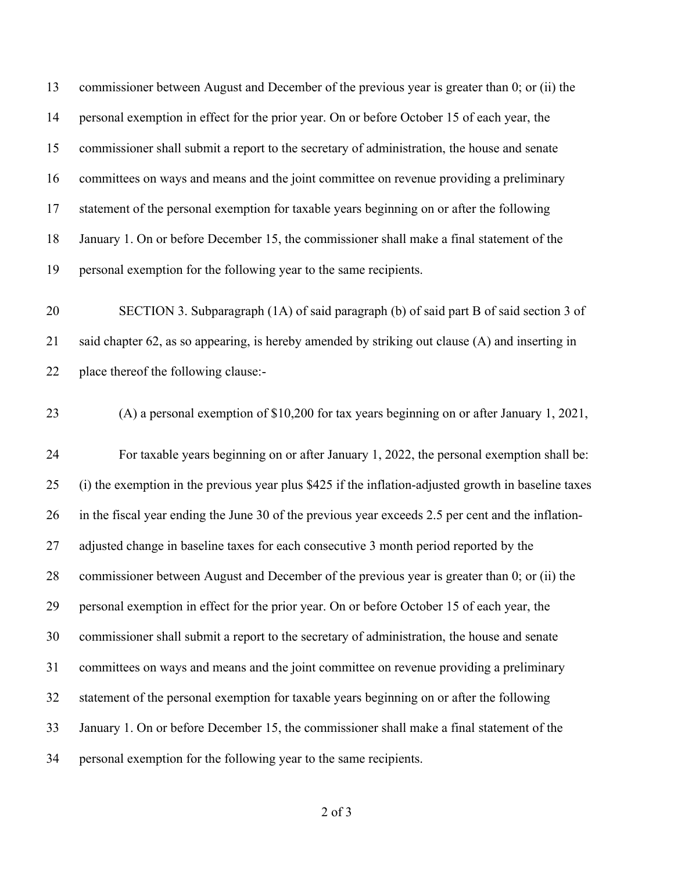commissioner between August and December of the previous year is greater than 0; or (ii) the personal exemption in effect for the prior year. On or before October 15 of each year, the commissioner shall submit a report to the secretary of administration, the house and senate committees on ways and means and the joint committee on revenue providing a preliminary statement of the personal exemption for taxable years beginning on or after the following January 1. On or before December 15, the commissioner shall make a final statement of the personal exemption for the following year to the same recipients.

 SECTION 3. Subparagraph (1A) of said paragraph (b) of said part B of said section 3 of said chapter 62, as so appearing, is hereby amended by striking out clause (A) and inserting in place thereof the following clause:-

(A) a personal exemption of \$10,200 for tax years beginning on or after January 1, 2021,

 For taxable years beginning on or after January 1, 2022, the personal exemption shall be: (i) the exemption in the previous year plus \$425 if the inflation-adjusted growth in baseline taxes in the fiscal year ending the June 30 of the previous year exceeds 2.5 per cent and the inflation-27 adjusted change in baseline taxes for each consecutive 3 month period reported by the commissioner between August and December of the previous year is greater than 0; or (ii) the personal exemption in effect for the prior year. On or before October 15 of each year, the commissioner shall submit a report to the secretary of administration, the house and senate committees on ways and means and the joint committee on revenue providing a preliminary statement of the personal exemption for taxable years beginning on or after the following January 1. On or before December 15, the commissioner shall make a final statement of the personal exemption for the following year to the same recipients.

of 3